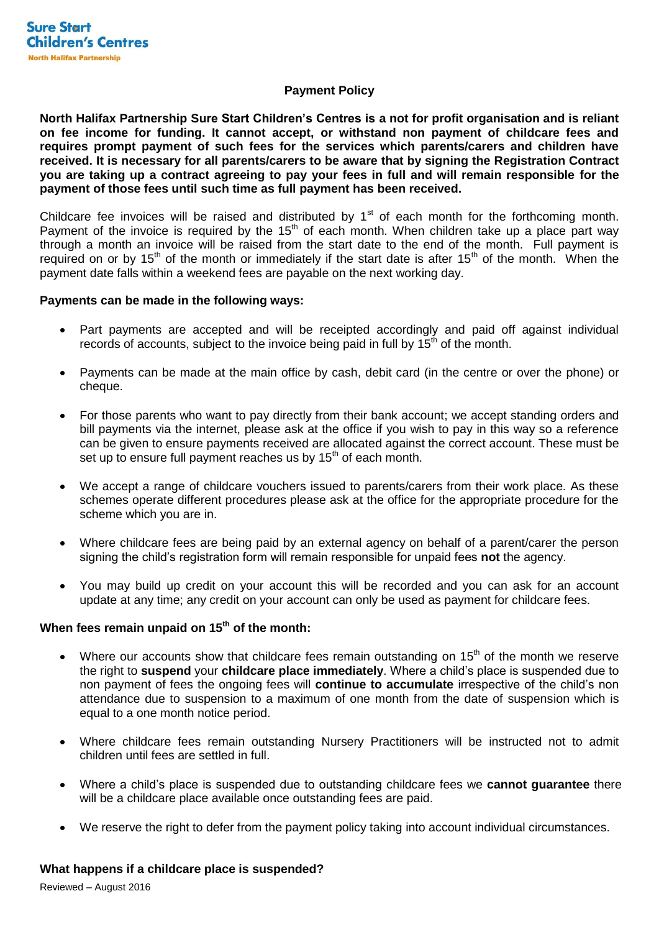## **Payment Policy**

**North Halifax Partnership Sure Start Children's Centres is a not for profit organisation and is reliant on fee income for funding. It cannot accept, or withstand non payment of childcare fees and requires prompt payment of such fees for the services which parents/carers and children have received. It is necessary for all parents/carers to be aware that by signing the Registration Contract you are taking up a contract agreeing to pay your fees in full and will remain responsible for the payment of those fees until such time as full payment has been received.** 

Childcare fee invoices will be raised and distributed by  $1<sup>st</sup>$  of each month for the forthcoming month. Payment of the invoice is required by the 15<sup>th</sup> of each month. When children take up a place part way through a month an invoice will be raised from the start date to the end of the month. Full payment is required on or by 15<sup>th</sup> of the month or immediately if the start date is after 15<sup>th</sup> of the month. When the payment date falls within a weekend fees are payable on the next working day.

## **Payments can be made in the following ways:**

- Part payments are accepted and will be receipted accordingly and paid off against individual records of accounts, subject to the invoice being paid in full by  $15<sup>th</sup>$  of the month.
- Payments can be made at the main office by cash, debit card (in the centre or over the phone) or cheque.
- For those parents who want to pay directly from their bank account; we accept standing orders and bill payments via the internet, please ask at the office if you wish to pay in this way so a reference can be given to ensure payments received are allocated against the correct account. These must be set up to ensure full payment reaches us by  $15<sup>th</sup>$  of each month.
- We accept a range of childcare vouchers issued to parents/carers from their work place. As these schemes operate different procedures please ask at the office for the appropriate procedure for the scheme which you are in.
- Where childcare fees are being paid by an external agency on behalf of a parent/carer the person signing the child's registration form will remain responsible for unpaid fees **not** the agency.
- You may build up credit on your account this will be recorded and you can ask for an account update at any time; any credit on your account can only be used as payment for childcare fees.

# **When fees remain unpaid on 15th of the month:**

- Where our accounts show that childcare fees remain outstanding on  $15<sup>th</sup>$  of the month we reserve the right to **suspend** your **childcare place immediately**. Where a child's place is suspended due to non payment of fees the ongoing fees will **continue to accumulate** irrespective of the child's non attendance due to suspension to a maximum of one month from the date of suspension which is equal to a one month notice period.
- Where childcare fees remain outstanding Nursery Practitioners will be instructed not to admit children until fees are settled in full.
- Where a child's place is suspended due to outstanding childcare fees we **cannot guarantee** there will be a childcare place available once outstanding fees are paid.
- We reserve the right to defer from the payment policy taking into account individual circumstances.

## **What happens if a childcare place is suspended?**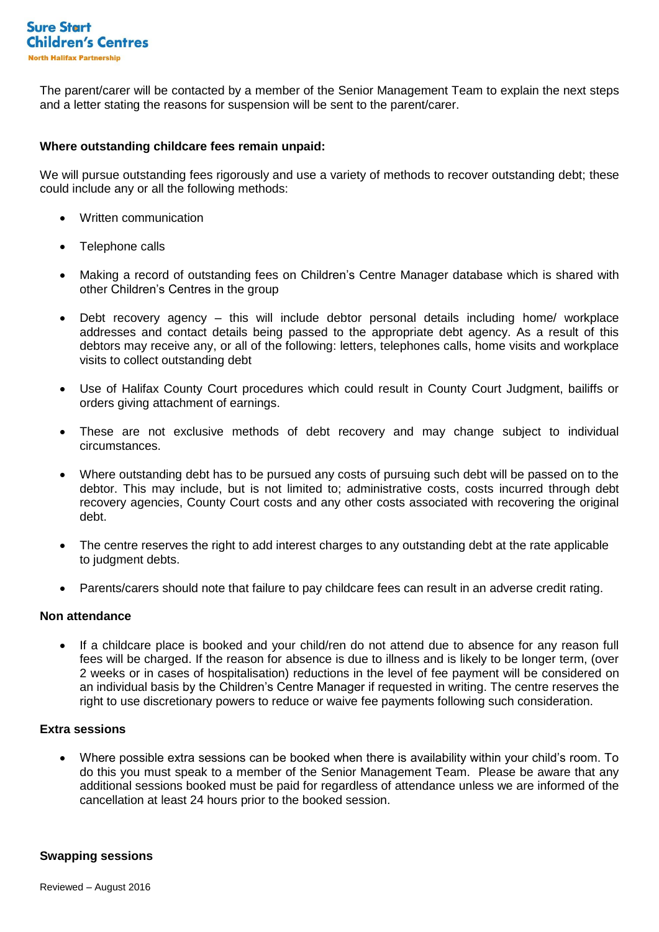

The parent/carer will be contacted by a member of the Senior Management Team to explain the next steps and a letter stating the reasons for suspension will be sent to the parent/carer.

#### **Where outstanding childcare fees remain unpaid:**

We will pursue outstanding fees rigorously and use a variety of methods to recover outstanding debt; these could include any or all the following methods:

- Written communication
- Telephone calls
- Making a record of outstanding fees on Children's Centre Manager database which is shared with other Children's Centres in the group
- Debt recovery agency this will include debtor personal details including home/ workplace addresses and contact details being passed to the appropriate debt agency. As a result of this debtors may receive any, or all of the following: letters, telephones calls, home visits and workplace visits to collect outstanding debt
- Use of Halifax County Court procedures which could result in County Court Judgment, bailiffs or orders giving attachment of earnings.
- These are not exclusive methods of debt recovery and may change subject to individual circumstances.
- Where outstanding debt has to be pursued any costs of pursuing such debt will be passed on to the debtor. This may include, but is not limited to; administrative costs, costs incurred through debt recovery agencies, County Court costs and any other costs associated with recovering the original debt.
- The centre reserves the right to add interest charges to any outstanding debt at the rate applicable to judgment debts.
- Parents/carers should note that failure to pay childcare fees can result in an adverse credit rating.

## **Non attendance**

 If a childcare place is booked and your child/ren do not attend due to absence for any reason full fees will be charged. If the reason for absence is due to illness and is likely to be longer term, (over 2 weeks or in cases of hospitalisation) reductions in the level of fee payment will be considered on an individual basis by the Children's Centre Manager if requested in writing. The centre reserves the right to use discretionary powers to reduce or waive fee payments following such consideration.

## **Extra sessions**

 Where possible extra sessions can be booked when there is availability within your child's room. To do this you must speak to a member of the Senior Management Team. Please be aware that any additional sessions booked must be paid for regardless of attendance unless we are informed of the cancellation at least 24 hours prior to the booked session.

#### **Swapping sessions**